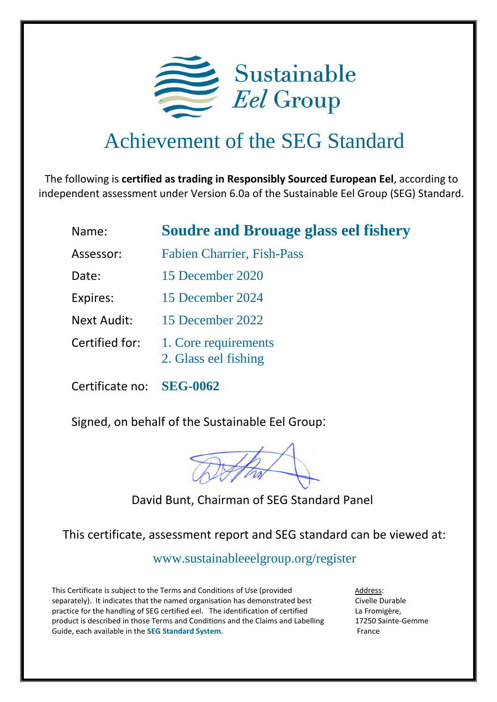

## Achievement of the SEG Standard

The following is **certified as trading in Responsibly Sourced European Eel**, according to independent assessment under Version 6.0a of the Sustainable Eel Group (SEG) Standard.

|  | <b>Soudre and Brouage glass eel fishery</b> |
|--|---------------------------------------------|

Assessor: Fabien Charrier, Fish-Pass

- Date: 15 December 2020
- Expires: 15 December 2024
- Next Audit: 15 December 2022
- Certified for: 1. Core requirements 2. Glass eel fishing

Certificate no: **SEG-0062**

Signed, on behalf of the Sustainable Eel Group:

David Bunt, Chairman of SEG Standard Panel

This certificate, assessment report and SEG standard can be viewed at:

<www.sustainableeelgroup.org/register>

This Certificate is subject to the Terms and Conditions of Use (provided separately). It indicates that the named organisation has demonstrated best practice for the handling of SEG certified eel. The identification of certified product is described in those Terms and Conditions and the Claims and Labelling Guide, each available in the **[SEG Standard System](https://www.sustainableeelgroup.org/the-seg-standard-system/)**.

Address: Civelle Durable La Fromigère, 17250 Sainte-Gemme France